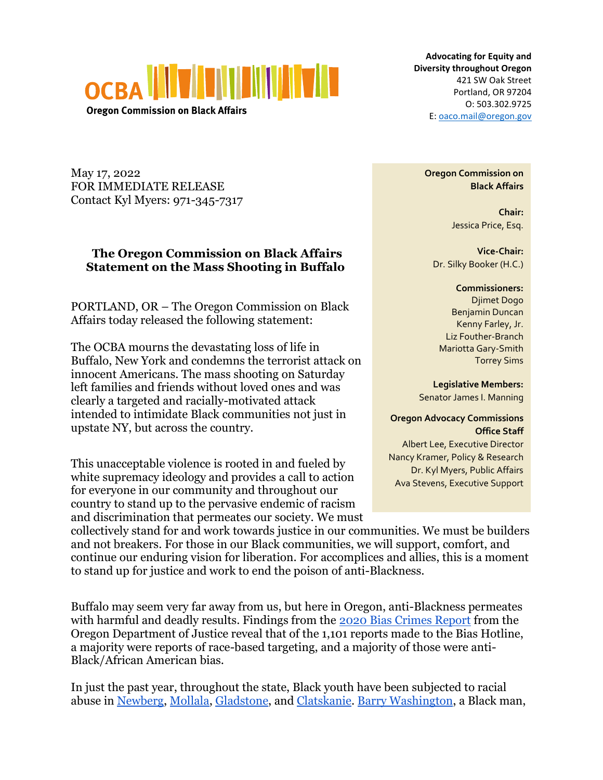

**Oregon Commission on Black Affairs** 

**Advocating for Equity and Diversity throughout Oregon** 421 SW Oak Street Portland, OR 97204 O: 503.302.9725 E[: oaco.mail@oregon.gov](mailto:oaco.mail@oregon.gov)

May 17, 2022 FOR IMMEDIATE RELEASE Contact Kyl Myers: 971-345-7317

## **The Oregon Commission on Black Affairs Statement on the Mass Shooting in Buffalo**

PORTLAND, OR – The Oregon Commission on Black Affairs today released the following statement:

The OCBA mourns the devastating loss of life in Buffalo, New York and condemns the terrorist attack on innocent Americans. The mass shooting on Saturday left families and friends without loved ones and was clearly a targeted and racially-motivated attack intended to intimidate Black communities not just in upstate NY, but across the country.

This unacceptable violence is rooted in and fueled by white supremacy ideology and provides a call to action for everyone in our community and throughout our country to stand up to the pervasive endemic of racism and discrimination that permeates our society. We must **Oregon Commission on Black Affairs**

> **Chair:** Jessica Price, Esq.

**Vice-Chair:** Dr. Silky Booker (H.C.)

**Commissioners:** Djimet Dogo Benjamin Duncan Kenny Farley, Jr. Liz Fouther-Branch Mariotta Gary-Smith Torrey Sims

**Legislative Members:** Senator James I. Manning

## **Oregon Advocacy Commissions Office Staff**

Albert Lee, Executive Director Nancy Kramer, Policy & Research Dr. Kyl Myers, Public Affairs Ava Stevens, Executive Support

collectively stand for and work towards justice in our communities. We must be builders and not breakers. For those in our Black communities, we will support, comfort, and continue our enduring vision for liberation. For accomplices and allies, this is a moment to stand up for justice and work to end the poison of anti-Blackness.

Buffalo may seem very far away from us, but here in Oregon, anti-Blackness permeates with harmful and deadly results. Findings from the [2020 Bias Crimes Report](https://www.doj.state.or.us/wp-content/uploads/2021/07/2020-Bias-Crimes-Report.pdf) from the Oregon Department of Justice reveal that of the 1,101 reports made to the Bias Hotline, a majority were reports of race-based targeting, and a majority of those were anti-Black/African American bias.

In just the past year, throughout the state, Black youth have been subjected to racial abuse in [Newberg,](https://www.opb.org/article/2021/09/20/newberg-school-employee-goes-to-work-in-blackface/) [Mollala,](https://www.koin.com/local/osaa-places-molalla-high-school-on-probation-as-result-of-reported-racism/) [Gladstone,](https://www.oregonlive.com/highschoolsports/2021/11/gladstone-football-players-allege-relentless-racist-taunts-during-playoff-game-at-la-grande.html) and [Clatskanie.](https://www.kgw.com/article/news/education/clatskanie-high-school-probation-osaa-racist-behavior/283-2e4d946e-db75-4ec3-beb8-04d37966d224) [Barry Washington,](https://www.diversityinc.com/barry-washington-jr-shot-and-killed-in-oregon-because-the-white-shooter-didnt-like-a-black-man-talking-to-his-girlfriend/) a Black man,